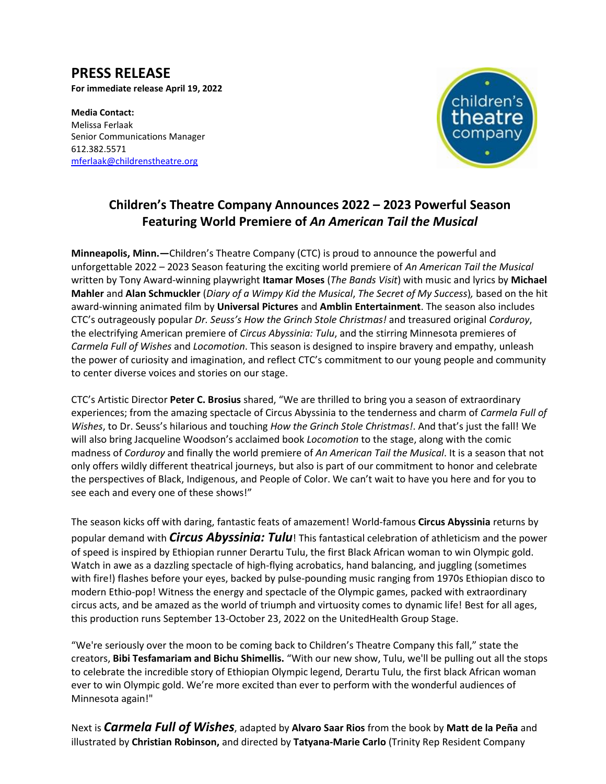# **PRESS RELEASE**

**For immediate release April 19, 2022**

**Media Contact:**  Melissa Ferlaak Senior Communications Manager 612.382.5571 [mferlaak@childrenstheatre.org](mailto:mferlaak@childrenstheatre.org)



# **Children's Theatre Company Announces 2022 – 2023 Powerful Season Featuring World Premiere of** *An American Tail the Musical*

**Minneapolis, Minn.—**Children's Theatre Company (CTC) is proud to announce the powerful and unforgettable 2022 – 2023 Season featuring the exciting world premiere of *An American Tail the Musical* written by Tony Award-winning playwright **Itamar Moses** (*The Bands Visit*) with music and lyrics by **Michael Mahler** and **Alan Schmuckler** (*Diary of a Wimpy Kid the Musical*, *The Secret of My Success*)*,* based on the hit award-winning animated film by **Universal Pictures** and **Amblin Entertainment**. The season also includes CTC's outrageously popular *Dr. Seuss's How the Grinch Stole Christmas!* and treasured original *Corduroy*, the electrifying American premiere of *Circus Abyssinia: Tulu*, and the stirring Minnesota premieres of *Carmela Full of Wishes* and *Locomotion*. This season is designed to inspire bravery and empathy, unleash the power of curiosity and imagination, and reflect CTC's commitment to our young people and community to center diverse voices and stories on our stage.

CTC's Artistic Director **Peter C. Brosius** shared, "We are thrilled to bring you a season of extraordinary experiences; from the amazing spectacle of Circus Abyssinia to the tenderness and charm of *Carmela Full of Wishes*, to Dr. Seuss's hilarious and touching *How the Grinch Stole Christmas!*. And that's just the fall! We will also bring Jacqueline Woodson's acclaimed book *Locomotion* to the stage, along with the comic madness of *Corduroy* and finally the world premiere of *An American Tail the Musical*. It is a season that not only offers wildly different theatrical journeys, but also is part of our commitment to honor and celebrate the perspectives of Black, Indigenous, and People of Color. We can't wait to have you here and for you to see each and every one of these shows!"

The season kicks off with daring, fantastic feats of amazement! World-famous **Circus Abyssinia** returns by popular demand with *Circus Abyssinia: Tulu*! This fantastical celebration of athleticism and the power of speed is inspired by Ethiopian runner Derartu Tulu, the first Black African woman to win Olympic gold. Watch in awe as a dazzling spectacle of high-flying acrobatics, hand balancing, and juggling (sometimes with fire!) flashes before your eyes, backed by pulse-pounding music ranging from 1970s Ethiopian disco to modern Ethio-pop! Witness the energy and spectacle of the Olympic games, packed with extraordinary circus acts, and be amazed as the world of triumph and virtuosity comes to dynamic life! Best for all ages, this production runs September 13-October 23, 2022 on the UnitedHealth Group Stage.

"We're seriously over the moon to be coming back to Children's Theatre Company this fall," state the creators, **Bibi Tesfamariam and Bichu Shimellis.** "With our new show, Tulu, we'll be pulling out all the stops to celebrate the incredible story of Ethiopian Olympic legend, Derartu Tulu, the first black African woman ever to win Olympic gold. We're more excited than ever to perform with the wonderful audiences of Minnesota again!"

Next is *Carmela Full of Wishes*, adapted by **Alvaro Saar Rios** from the book by **Matt de la Peña** and illustrated by **Christian Robinson,** and directed by **Tatyana-Marie Carlo** (Trinity Rep Resident Company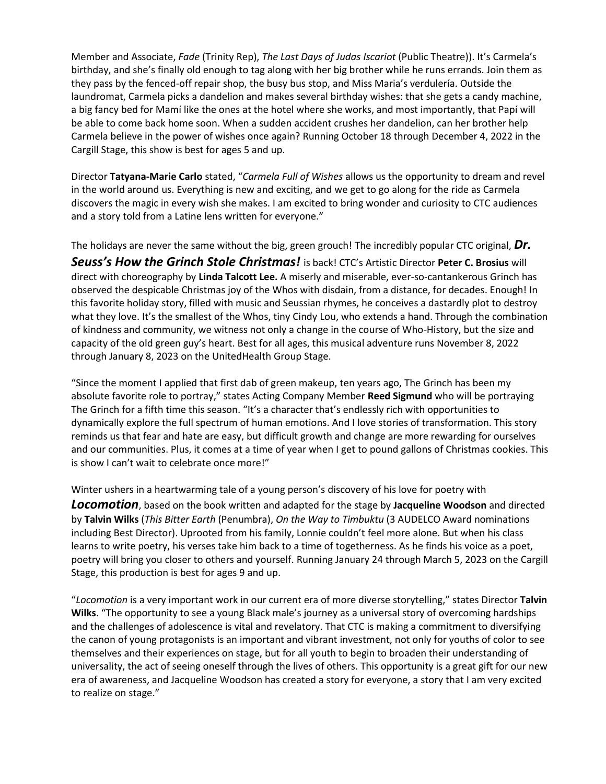Member and Associate, *Fade* (Trinity Rep), *The Last Days of Judas Iscariot* (Public Theatre)). It's Carmela's birthday, and she's finally old enough to tag along with her big brother while he runs errands. Join them as they pass by the fenced-off repair shop, the busy bus stop, and Miss Maria's verdulería. Outside the laundromat, Carmela picks a dandelion and makes several birthday wishes: that she gets a candy machine, a big fancy bed for Mamí like the ones at the hotel where she works, and most importantly, that Papí will be able to come back home soon. When a sudden accident crushes her dandelion, can her brother help Carmela believe in the power of wishes once again? Running October 18 through December 4, 2022 in the Cargill Stage, this show is best for ages 5 and up.

Director **Tatyana-Marie Carlo** stated, "*Carmela Full of Wishes* allows us the opportunity to dream and revel in the world around us. Everything is new and exciting, and we get to go along for the ride as Carmela discovers the magic in every wish she makes. I am excited to bring wonder and curiosity to CTC audiences and a story told from a Latine lens written for everyone."

The holidays are never the same without the big, green grouch! The incredibly popular CTC original, *Dr. Seuss's How the Grinch Stole Christmas!* is back! CTC's Artistic Director **Peter C. Brosius** will direct with choreography by **Linda Talcott Lee.** A miserly and miserable, ever-so-cantankerous Grinch has observed the despicable Christmas joy of the Whos with disdain, from a distance, for decades. Enough! In this favorite holiday story, filled with music and Seussian rhymes, he conceives a dastardly plot to destroy what they love. It's the smallest of the Whos, tiny Cindy Lou, who extends a hand. Through the combination of kindness and community, we witness not only a change in the course of Who-History, but the size and capacity of the old green guy's heart. Best for all ages, this musical adventure runs November 8, 2022 through January 8, 2023 on the UnitedHealth Group Stage.

"Since the moment I applied that first dab of green makeup, ten years ago, The Grinch has been my absolute favorite role to portray," states Acting Company Member **Reed Sigmund** who will be portraying The Grinch for a fifth time this season. "It's a character that's endlessly rich with opportunities to dynamically explore the full spectrum of human emotions. And I love stories of transformation. This story reminds us that fear and hate are easy, but difficult growth and change are more rewarding for ourselves and our communities. Plus, it comes at a time of year when I get to pound gallons of Christmas cookies. This is show I can't wait to celebrate once more!"

Winter ushers in a heartwarming tale of a young person's discovery of his love for poetry with

*Locomotion*, based on the book written and adapted for the stage by **Jacqueline Woodson** and directed by **Talvin Wilks** (*This Bitter Earth* (Penumbra), *On the Way to Timbuktu* (3 AUDELCO Award nominations including Best Director). Uprooted from his family, Lonnie couldn't feel more alone. But when his class learns to write poetry, his verses take him back to a time of togetherness. As he finds his voice as a poet, poetry will bring you closer to others and yourself. Running January 24 through March 5, 2023 on the Cargill Stage, this production is best for ages 9 and up.

"*Locomotion* is a very important work in our current era of more diverse storytelling," states Director **Talvin Wilks**. "The opportunity to see a young Black male's journey as a universal story of overcoming hardships and the challenges of adolescence is vital and revelatory. That CTC is making a commitment to diversifying the canon of young protagonists is an important and vibrant investment, not only for youths of color to see themselves and their experiences on stage, but for all youth to begin to broaden their understanding of universality, the act of seeing oneself through the lives of others. This opportunity is a great gift for our new era of awareness, and Jacqueline Woodson has created a story for everyone, a story that I am very excited to realize on stage."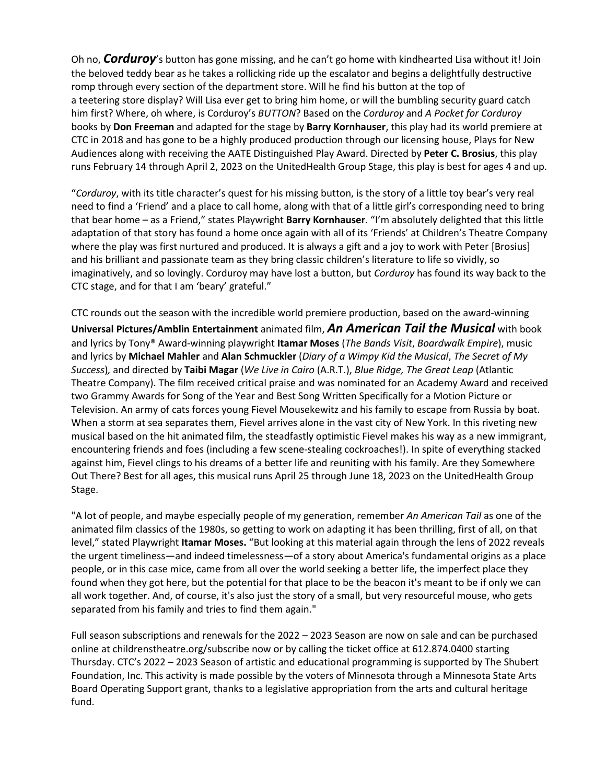Oh no, *Corduroy*'s button has gone missing, and he can't go home with kindhearted Lisa without it! Join Melissa Ferlaak the beloved teddy bear as he takes a rollicking ride up the escalator and begins a delightfully destructive and sensive ceasy sear as he takes a romening rise ap the essenator and segms a dengineary describence.<br>Fromp through every section of the department store. Will he find his button at the top of form through every section of the department store. This meaning mobitum at the top of [mferlaak@childrenstheatre.org](mailto:mferlaak@childrenstheatre.org) him first? Where, oh where, is Corduroy's *BUTTON*? Based on the *Corduroy* and *A Pocket for Corduroy* books by **Don Freeman** and adapted for the stage by **Barry Kornhauser**, this play had its world premiere at CTC in 2018 and has gone to be a highly produced production through our licensing house, Plays for New Audiences along with receiving the AATE Distinguished Play Award. Directed by **Peter C. Brosius**, this play runs February 14 through April 2, 2023 on the UnitedHealth Group Stage, this play is best for ages 4 and up.

"*Corduroy*, with its title character's quest for his missing button, is the story of a little toy bear's very real need to find a 'Friend' and a place to call home, along with that of a little girl's corresponding need to bring that bear home – as a Friend," states Playwright **Barry Kornhauser**. "I'm absolutely delighted that this little adaptation of that story has found a home once again with all of its 'Friends' at Children's Theatre Company where the play was first nurtured and produced. It is always a gift and a joy to work with Peter [Brosius] and his brilliant and passionate team as they bring classic children's literature to life so vividly, so imaginatively, and so lovingly. Corduroy may have lost a button, but *Corduroy* has found its way back to the CTC stage, and for that I am 'beary' grateful."

CTC rounds out the season with the incredible world premiere production, based on the award-winning **Universal Pictures/Amblin Entertainment** animated film, *An American Tail the Musical* with book and lyrics by Tony® Award-winning playwright **Itamar Moses** (*The Bands Visit*, *Boardwalk Empire*), music and lyrics by **Michael Mahler** and **Alan Schmuckler** (*Diary of a Wimpy Kid the Musical*, *The Secret of My Success*)*,* and directed by **Taibi Magar** (*We Live in Cairo* (A.R.T.), *Blue Ridge, The Great Leap* (Atlantic Theatre Company). The film received critical praise and was nominated for an Academy Award and received two Grammy Awards for Song of the Year and Best Song Written Specifically for a Motion Picture or Television. An army of cats forces young Fievel Mousekewitz and his family to escape from Russia by boat. When a storm at sea separates them, Fievel arrives alone in the vast city of New York. In this riveting new musical based on the hit animated film, the steadfastly optimistic Fievel makes his way as a new immigrant, encountering friends and foes (including a few scene-stealing cockroaches!). In spite of everything stacked against him, Fievel clings to his dreams of a better life and reuniting with his family. Are they Somewhere Out There? Best for all ages, this musical runs April 25 through June 18, 2023 on the UnitedHealth Group Stage.

"A lot of people, and maybe especially people of my generation, remember *An American Tail* as one of the animated film classics of the 1980s, so getting to work on adapting it has been thrilling, first of all, on that level," stated Playwright **Itamar Moses.** "But looking at this material again through the lens of 2022 reveals the urgent timeliness—and indeed timelessness—of a story about America's fundamental origins as a place people, or in this case mice, came from all over the world seeking a better life, the imperfect place they found when they got here, but the potential for that place to be the beacon it's meant to be if only we can all work together. And, of course, it's also just the story of a small, but very resourceful mouse, who gets separated from his family and tries to find them again."

Full season subscriptions and renewals for the 2022 – 2023 Season are now on sale and can be purchased online at childrenstheatre.org/subscribe now or by calling the ticket office at 612.874.0400 starting Thursday. CTC's 2022 – 2023 Season of artistic and educational programming is supported by The Shubert Foundation, Inc. This activity is made possible by the voters of Minnesota through a Minnesota State Arts Board Operating Support grant, thanks to a legislative appropriation from the arts and cultural heritage fund.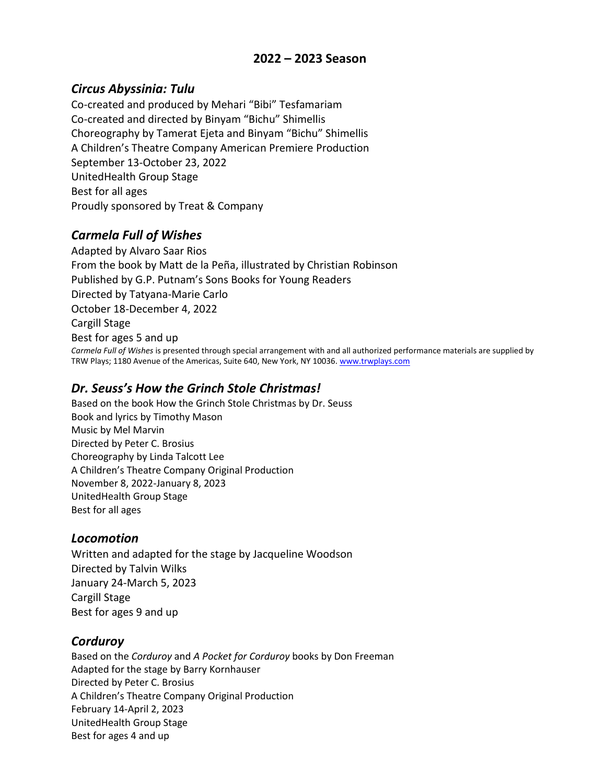# **2022 – 2023 Season**

#### *Circus Abyssinia: Tulu*

Co-created and produced by Mehari "Bibi" Tesfamariam Co-created and directed by Binyam "Bichu" Shimellis Choreography by Tamerat Ejeta and Binyam "Bichu" Shimellis A Children's Theatre Company American Premiere Production September 13-October 23, 2022 UnitedHealth Group Stage Best for all ages Proudly sponsored by Treat & Company

#### *Carmela Full of Wishes*

Adapted by Alvaro Saar Rios From the book by Matt de la Peña, illustrated by Christian Robinson Published by G.P. Putnam's Sons Books for Young Readers Directed by Tatyana-Marie Carlo October 18-December 4, 2022 Cargill Stage Best for ages 5 and up *Carmela Full of Wishes* is presented through special arrangement with and all authorized performance materials are supplied by TRW Plays; 1180 Avenue of the Americas, Suite 640, New York, NY 10036[. www.trwplays.com](http://www.trwplays.com/)

# *Dr. Seuss's How the Grinch Stole Christmas!*

Based on the book How the Grinch Stole Christmas by Dr. Seuss Book and lyrics by Timothy Mason Music by Mel Marvin Directed by Peter C. Brosius Choreography by Linda Talcott Lee A Children's Theatre Company Original Production November 8, 2022-January 8, 2023 UnitedHealth Group Stage Best for all ages

#### *Locomotion*

Written and adapted for the stage by Jacqueline Woodson Directed by Talvin Wilks January 24-March 5, 2023 Cargill Stage Best for ages 9 and up

#### *Corduroy*

Based on the *Corduroy* and *A Pocket for Corduroy* books by Don Freeman Adapted for the stage by Barry Kornhauser Directed by Peter C. Brosius A Children's Theatre Company Original Production February 14-April 2, 2023 UnitedHealth Group Stage Best for ages 4 and up